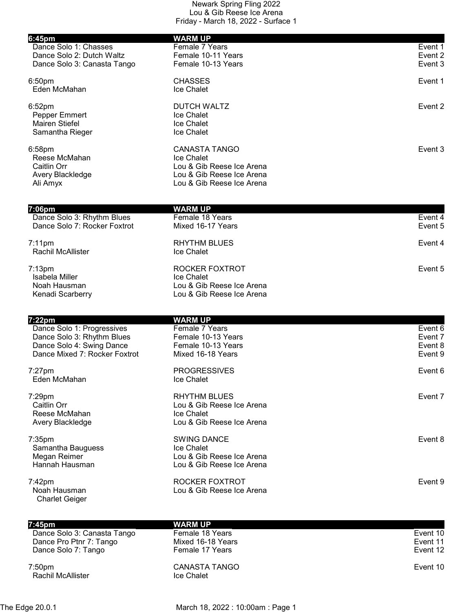| Dance Solo 1: Chasses<br>Female 7 Years<br>Dance Solo 2: Dutch Waltz<br>Female 10-11 Years<br>Dance Solo 3: Canasta Tango<br>Female 10-13 Years<br><b>CHASSES</b><br>Event 1<br>Eden McMahan<br>Ice Chalet<br><b>DUTCH WALTZ</b><br>Ice Chalet<br>Pepper Emmert<br><b>Mairen Stiefel</b><br>Ice Chalet<br>Samantha Rieger<br><b>Ice Chalet</b><br><b>CANASTA TANGO</b><br>Reese McMahan<br>Ice Chalet<br>Caitlin Orr<br>Lou & Gib Reese Ice Arena<br>Lou & Gib Reese Ice Arena<br>Avery Blackledge<br>Lou & Gib Reese Ice Arena<br>Ali Amyx<br><b>WARM UP</b><br>Dance Solo 3: Rhythm Blues<br>Female 18 Years<br>Event 4<br>Dance Solo 7: Rocker Foxtrot<br>Mixed 16-17 Years<br>Event 5<br><b>RHYTHM BLUES</b><br>Rachil McAllister<br>Ice Chalet<br>ROCKER FOXTROT<br>Isabela Miller<br>Ice Chalet<br>Lou & Gib Reese Ice Arena<br>Noah Hausman<br>Lou & Gib Reese Ice Arena<br>Kenadi Scarberry<br>7:22pm<br><b>WARM UP</b><br>Dance Solo 1: Progressives<br>Female 7 Years<br>Dance Solo 3: Rhythm Blues<br>Female 10-13 Years<br>Dance Solo 4: Swing Dance<br>Female 10-13 Years<br>Dance Mixed 7: Rocker Foxtrot<br>Mixed 16-18 Years<br>Event 9<br><b>PROGRESSIVES</b><br>Eden McMahan<br>Ice Chalet<br><b>RHYTHM BLUES</b><br>Caitlin Orr<br>Lou & Gib Reese Ice Arena<br>Reese McMahan<br>Ice Chalet<br>Lou & Gib Reese Ice Arena<br>Avery Blackledge<br><b>SWING DANCE</b><br>Ice Chalet<br>Samantha Bauguess<br>Lou & Gib Reese Ice Arena<br>Megan Reimer<br>Hannah Hausman<br>Lou & Gib Reese Ice Arena<br>ROCKER FOXTROT<br>Lou & Gib Reese Ice Arena<br>Noah Hausman<br><b>Charlet Geiger</b><br><b>WARM UP</b><br>7:45pm<br>Dance Solo 3: Canasta Tango<br>Female 18 Years | 6:45pm             | <b>WARM UP</b> |          |
|--------------------------------------------------------------------------------------------------------------------------------------------------------------------------------------------------------------------------------------------------------------------------------------------------------------------------------------------------------------------------------------------------------------------------------------------------------------------------------------------------------------------------------------------------------------------------------------------------------------------------------------------------------------------------------------------------------------------------------------------------------------------------------------------------------------------------------------------------------------------------------------------------------------------------------------------------------------------------------------------------------------------------------------------------------------------------------------------------------------------------------------------------------------------------------------------------------------------------------------------------------------------------------------------------------------------------------------------------------------------------------------------------------------------------------------------------------------------------------------------------------------------------------------------------------------------------------------------------------------------------------------------------------------------------------------------|--------------------|----------------|----------|
|                                                                                                                                                                                                                                                                                                                                                                                                                                                                                                                                                                                                                                                                                                                                                                                                                                                                                                                                                                                                                                                                                                                                                                                                                                                                                                                                                                                                                                                                                                                                                                                                                                                                                            |                    |                | Event 1  |
|                                                                                                                                                                                                                                                                                                                                                                                                                                                                                                                                                                                                                                                                                                                                                                                                                                                                                                                                                                                                                                                                                                                                                                                                                                                                                                                                                                                                                                                                                                                                                                                                                                                                                            |                    |                | Event 2  |
|                                                                                                                                                                                                                                                                                                                                                                                                                                                                                                                                                                                                                                                                                                                                                                                                                                                                                                                                                                                                                                                                                                                                                                                                                                                                                                                                                                                                                                                                                                                                                                                                                                                                                            |                    |                | Event 3  |
|                                                                                                                                                                                                                                                                                                                                                                                                                                                                                                                                                                                                                                                                                                                                                                                                                                                                                                                                                                                                                                                                                                                                                                                                                                                                                                                                                                                                                                                                                                                                                                                                                                                                                            | 6:50 <sub>pm</sub> |                |          |
|                                                                                                                                                                                                                                                                                                                                                                                                                                                                                                                                                                                                                                                                                                                                                                                                                                                                                                                                                                                                                                                                                                                                                                                                                                                                                                                                                                                                                                                                                                                                                                                                                                                                                            |                    |                |          |
|                                                                                                                                                                                                                                                                                                                                                                                                                                                                                                                                                                                                                                                                                                                                                                                                                                                                                                                                                                                                                                                                                                                                                                                                                                                                                                                                                                                                                                                                                                                                                                                                                                                                                            | 6:52 <sub>pm</sub> |                | Event 2  |
|                                                                                                                                                                                                                                                                                                                                                                                                                                                                                                                                                                                                                                                                                                                                                                                                                                                                                                                                                                                                                                                                                                                                                                                                                                                                                                                                                                                                                                                                                                                                                                                                                                                                                            |                    |                |          |
|                                                                                                                                                                                                                                                                                                                                                                                                                                                                                                                                                                                                                                                                                                                                                                                                                                                                                                                                                                                                                                                                                                                                                                                                                                                                                                                                                                                                                                                                                                                                                                                                                                                                                            |                    |                |          |
|                                                                                                                                                                                                                                                                                                                                                                                                                                                                                                                                                                                                                                                                                                                                                                                                                                                                                                                                                                                                                                                                                                                                                                                                                                                                                                                                                                                                                                                                                                                                                                                                                                                                                            |                    |                |          |
|                                                                                                                                                                                                                                                                                                                                                                                                                                                                                                                                                                                                                                                                                                                                                                                                                                                                                                                                                                                                                                                                                                                                                                                                                                                                                                                                                                                                                                                                                                                                                                                                                                                                                            | 6:58pm             |                | Event 3  |
|                                                                                                                                                                                                                                                                                                                                                                                                                                                                                                                                                                                                                                                                                                                                                                                                                                                                                                                                                                                                                                                                                                                                                                                                                                                                                                                                                                                                                                                                                                                                                                                                                                                                                            |                    |                |          |
|                                                                                                                                                                                                                                                                                                                                                                                                                                                                                                                                                                                                                                                                                                                                                                                                                                                                                                                                                                                                                                                                                                                                                                                                                                                                                                                                                                                                                                                                                                                                                                                                                                                                                            |                    |                |          |
|                                                                                                                                                                                                                                                                                                                                                                                                                                                                                                                                                                                                                                                                                                                                                                                                                                                                                                                                                                                                                                                                                                                                                                                                                                                                                                                                                                                                                                                                                                                                                                                                                                                                                            |                    |                |          |
|                                                                                                                                                                                                                                                                                                                                                                                                                                                                                                                                                                                                                                                                                                                                                                                                                                                                                                                                                                                                                                                                                                                                                                                                                                                                                                                                                                                                                                                                                                                                                                                                                                                                                            |                    |                |          |
|                                                                                                                                                                                                                                                                                                                                                                                                                                                                                                                                                                                                                                                                                                                                                                                                                                                                                                                                                                                                                                                                                                                                                                                                                                                                                                                                                                                                                                                                                                                                                                                                                                                                                            | 7:06pm             |                |          |
|                                                                                                                                                                                                                                                                                                                                                                                                                                                                                                                                                                                                                                                                                                                                                                                                                                                                                                                                                                                                                                                                                                                                                                                                                                                                                                                                                                                                                                                                                                                                                                                                                                                                                            |                    |                |          |
|                                                                                                                                                                                                                                                                                                                                                                                                                                                                                                                                                                                                                                                                                                                                                                                                                                                                                                                                                                                                                                                                                                                                                                                                                                                                                                                                                                                                                                                                                                                                                                                                                                                                                            |                    |                |          |
|                                                                                                                                                                                                                                                                                                                                                                                                                                                                                                                                                                                                                                                                                                                                                                                                                                                                                                                                                                                                                                                                                                                                                                                                                                                                                                                                                                                                                                                                                                                                                                                                                                                                                            | $7:11$ pm          |                | Event 4  |
|                                                                                                                                                                                                                                                                                                                                                                                                                                                                                                                                                                                                                                                                                                                                                                                                                                                                                                                                                                                                                                                                                                                                                                                                                                                                                                                                                                                                                                                                                                                                                                                                                                                                                            |                    |                |          |
|                                                                                                                                                                                                                                                                                                                                                                                                                                                                                                                                                                                                                                                                                                                                                                                                                                                                                                                                                                                                                                                                                                                                                                                                                                                                                                                                                                                                                                                                                                                                                                                                                                                                                            | $7:13$ pm          |                | Event 5  |
|                                                                                                                                                                                                                                                                                                                                                                                                                                                                                                                                                                                                                                                                                                                                                                                                                                                                                                                                                                                                                                                                                                                                                                                                                                                                                                                                                                                                                                                                                                                                                                                                                                                                                            |                    |                |          |
|                                                                                                                                                                                                                                                                                                                                                                                                                                                                                                                                                                                                                                                                                                                                                                                                                                                                                                                                                                                                                                                                                                                                                                                                                                                                                                                                                                                                                                                                                                                                                                                                                                                                                            |                    |                |          |
|                                                                                                                                                                                                                                                                                                                                                                                                                                                                                                                                                                                                                                                                                                                                                                                                                                                                                                                                                                                                                                                                                                                                                                                                                                                                                                                                                                                                                                                                                                                                                                                                                                                                                            |                    |                |          |
|                                                                                                                                                                                                                                                                                                                                                                                                                                                                                                                                                                                                                                                                                                                                                                                                                                                                                                                                                                                                                                                                                                                                                                                                                                                                                                                                                                                                                                                                                                                                                                                                                                                                                            |                    |                |          |
|                                                                                                                                                                                                                                                                                                                                                                                                                                                                                                                                                                                                                                                                                                                                                                                                                                                                                                                                                                                                                                                                                                                                                                                                                                                                                                                                                                                                                                                                                                                                                                                                                                                                                            |                    |                | Event 6  |
|                                                                                                                                                                                                                                                                                                                                                                                                                                                                                                                                                                                                                                                                                                                                                                                                                                                                                                                                                                                                                                                                                                                                                                                                                                                                                                                                                                                                                                                                                                                                                                                                                                                                                            |                    |                | Event 7  |
|                                                                                                                                                                                                                                                                                                                                                                                                                                                                                                                                                                                                                                                                                                                                                                                                                                                                                                                                                                                                                                                                                                                                                                                                                                                                                                                                                                                                                                                                                                                                                                                                                                                                                            |                    |                | Event 8  |
|                                                                                                                                                                                                                                                                                                                                                                                                                                                                                                                                                                                                                                                                                                                                                                                                                                                                                                                                                                                                                                                                                                                                                                                                                                                                                                                                                                                                                                                                                                                                                                                                                                                                                            |                    |                |          |
|                                                                                                                                                                                                                                                                                                                                                                                                                                                                                                                                                                                                                                                                                                                                                                                                                                                                                                                                                                                                                                                                                                                                                                                                                                                                                                                                                                                                                                                                                                                                                                                                                                                                                            | $7:27$ pm          |                | Event 6  |
|                                                                                                                                                                                                                                                                                                                                                                                                                                                                                                                                                                                                                                                                                                                                                                                                                                                                                                                                                                                                                                                                                                                                                                                                                                                                                                                                                                                                                                                                                                                                                                                                                                                                                            |                    |                |          |
|                                                                                                                                                                                                                                                                                                                                                                                                                                                                                                                                                                                                                                                                                                                                                                                                                                                                                                                                                                                                                                                                                                                                                                                                                                                                                                                                                                                                                                                                                                                                                                                                                                                                                            | 7:29pm             |                | Event 7  |
|                                                                                                                                                                                                                                                                                                                                                                                                                                                                                                                                                                                                                                                                                                                                                                                                                                                                                                                                                                                                                                                                                                                                                                                                                                                                                                                                                                                                                                                                                                                                                                                                                                                                                            |                    |                |          |
|                                                                                                                                                                                                                                                                                                                                                                                                                                                                                                                                                                                                                                                                                                                                                                                                                                                                                                                                                                                                                                                                                                                                                                                                                                                                                                                                                                                                                                                                                                                                                                                                                                                                                            |                    |                |          |
|                                                                                                                                                                                                                                                                                                                                                                                                                                                                                                                                                                                                                                                                                                                                                                                                                                                                                                                                                                                                                                                                                                                                                                                                                                                                                                                                                                                                                                                                                                                                                                                                                                                                                            |                    |                |          |
|                                                                                                                                                                                                                                                                                                                                                                                                                                                                                                                                                                                                                                                                                                                                                                                                                                                                                                                                                                                                                                                                                                                                                                                                                                                                                                                                                                                                                                                                                                                                                                                                                                                                                            | 7:35pm             |                | Event 8  |
|                                                                                                                                                                                                                                                                                                                                                                                                                                                                                                                                                                                                                                                                                                                                                                                                                                                                                                                                                                                                                                                                                                                                                                                                                                                                                                                                                                                                                                                                                                                                                                                                                                                                                            |                    |                |          |
|                                                                                                                                                                                                                                                                                                                                                                                                                                                                                                                                                                                                                                                                                                                                                                                                                                                                                                                                                                                                                                                                                                                                                                                                                                                                                                                                                                                                                                                                                                                                                                                                                                                                                            |                    |                |          |
|                                                                                                                                                                                                                                                                                                                                                                                                                                                                                                                                                                                                                                                                                                                                                                                                                                                                                                                                                                                                                                                                                                                                                                                                                                                                                                                                                                                                                                                                                                                                                                                                                                                                                            |                    |                |          |
|                                                                                                                                                                                                                                                                                                                                                                                                                                                                                                                                                                                                                                                                                                                                                                                                                                                                                                                                                                                                                                                                                                                                                                                                                                                                                                                                                                                                                                                                                                                                                                                                                                                                                            | 7:42pm             |                | Event 9  |
|                                                                                                                                                                                                                                                                                                                                                                                                                                                                                                                                                                                                                                                                                                                                                                                                                                                                                                                                                                                                                                                                                                                                                                                                                                                                                                                                                                                                                                                                                                                                                                                                                                                                                            |                    |                |          |
|                                                                                                                                                                                                                                                                                                                                                                                                                                                                                                                                                                                                                                                                                                                                                                                                                                                                                                                                                                                                                                                                                                                                                                                                                                                                                                                                                                                                                                                                                                                                                                                                                                                                                            |                    |                |          |
|                                                                                                                                                                                                                                                                                                                                                                                                                                                                                                                                                                                                                                                                                                                                                                                                                                                                                                                                                                                                                                                                                                                                                                                                                                                                                                                                                                                                                                                                                                                                                                                                                                                                                            |                    |                |          |
|                                                                                                                                                                                                                                                                                                                                                                                                                                                                                                                                                                                                                                                                                                                                                                                                                                                                                                                                                                                                                                                                                                                                                                                                                                                                                                                                                                                                                                                                                                                                                                                                                                                                                            |                    |                | Event 10 |

 Dance Pro Ptnr 7: Tango Mixed 16-18 Years Event 11 Dance Solo 7: Tango Female 17 Years Event 12

7:50pm CANASTA TANGO Event 10 Rachil McAllister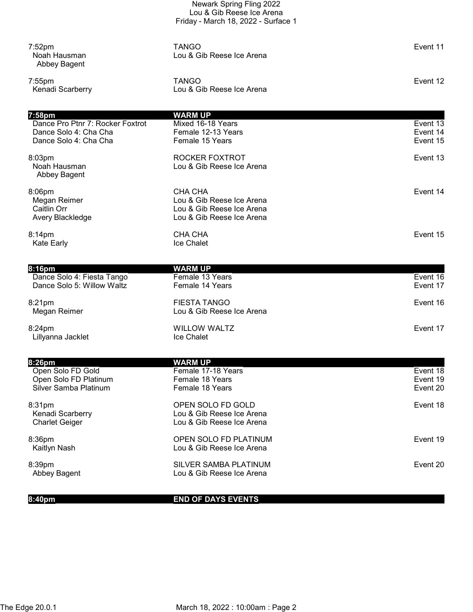|                                                                                              | Newark Spring Fling 2022<br>Lou & Gib Reese Ice Arena<br>Friday - March 18, 2022 - Surface 1          |                                  |
|----------------------------------------------------------------------------------------------|-------------------------------------------------------------------------------------------------------|----------------------------------|
| 7:52 <sub>pm</sub><br>Noah Hausman<br>Abbey Bagent                                           | <b>TANGO</b><br>Lou & Gib Reese Ice Arena                                                             | Event 11                         |
| $7:55$ pm<br>Kenadi Scarberry                                                                | <b>TANGO</b><br>Lou & Gib Reese Ice Arena                                                             | Event 12                         |
|                                                                                              |                                                                                                       |                                  |
| 7:58pm<br>Dance Pro Ptnr 7: Rocker Foxtrot<br>Dance Solo 4: Cha Cha<br>Dance Solo 4: Cha Cha | <b>WARM UP</b><br>Mixed 16-18 Years<br>Female 12-13 Years<br>Female 15 Years                          | Event 13<br>Event 14<br>Event 15 |
| 8:03pm<br>Noah Hausman<br>Abbey Bagent                                                       | ROCKER FOXTROT<br>Lou & Gib Reese Ice Arena                                                           | Event 13                         |
| 8:06pm<br>Megan Reimer<br>Caitlin Orr<br>Avery Blackledge                                    | <b>CHA CHA</b><br>Lou & Gib Reese Ice Arena<br>Lou & Gib Reese Ice Arena<br>Lou & Gib Reese Ice Arena | Event 14                         |
| 8:14pm<br><b>Kate Early</b>                                                                  | <b>CHA CHA</b><br>Ice Chalet                                                                          | Event 15                         |
|                                                                                              |                                                                                                       |                                  |
| 8:16pm<br>Dance Solo 4: Fiesta Tango<br>Dance Solo 5: Willow Waltz                           | <b>WARM UP</b><br>Female 13 Years<br>Female 14 Years                                                  | Event 16<br>Event 17             |
| 8:21pm<br>Megan Reimer                                                                       | <b>FIESTA TANGO</b><br>Lou & Gib Reese Ice Arena                                                      | Event 16                         |
| 8:24pm<br>Lillyanna Jacklet                                                                  | <b>WILLOW WALTZ</b><br>Ice Chalet                                                                     | Event 17                         |
|                                                                                              |                                                                                                       |                                  |
| 8:26pm<br>Open Solo FD Gold<br>Open Solo FD Platinum<br>Silver Samba Platinum                | <b>WARM UP</b><br>Female 17-18 Years<br>Female 18 Years<br>Female 18 Years                            | Event 18<br>Event 19<br>Event 20 |
| 8:31pm<br>Kenadi Scarberry<br><b>Charlet Geiger</b>                                          | OPEN SOLO FD GOLD<br>Lou & Gib Reese Ice Arena<br>Lou & Gib Reese Ice Arena                           | Event 18                         |
| 8:36pm<br>Kaitlyn Nash                                                                       | OPEN SOLO FD PLATINUM<br>Lou & Gib Reese Ice Arena                                                    | Event 19                         |
| 8:39pm<br>Abbey Bagent                                                                       | SILVER SAMBA PLATINUM<br>Lou & Gib Reese Ice Arena                                                    | Event 20                         |
|                                                                                              |                                                                                                       |                                  |

8:40pm END OF DAYS EVENTS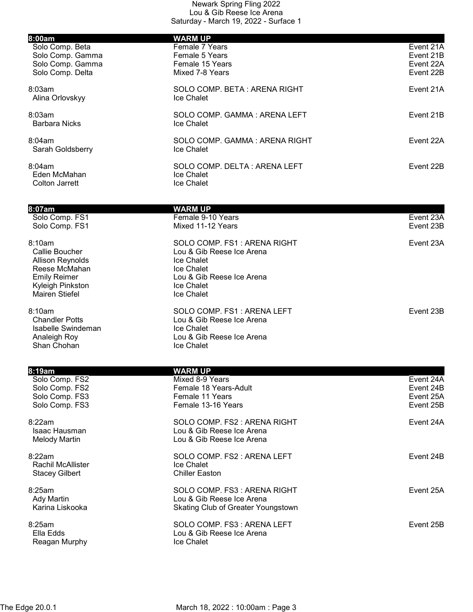| 8:00am                                    | <b>WARM UP</b>                                          |           |
|-------------------------------------------|---------------------------------------------------------|-----------|
| Solo Comp. Beta                           | Female 7 Years                                          | Event 21A |
| Solo Comp. Gamma                          | Female 5 Years                                          | Event 21B |
| Solo Comp. Gamma                          | Female 15 Years                                         | Event 22A |
| Solo Comp. Delta                          | Mixed 7-8 Years                                         | Event 22B |
| 8:03am                                    | SOLO COMP. BETA: ARENA RIGHT                            | Event 21A |
| Alina Orlovskyy                           | Ice Chalet                                              |           |
| 8:03am                                    | SOLO COMP. GAMMA: ARENA LEFT                            | Event 21B |
| <b>Barbara Nicks</b>                      | Ice Chalet                                              |           |
| 8:04am                                    | SOLO COMP. GAMMA: ARENA RIGHT                           | Event 22A |
| Sarah Goldsberry                          | <b>Ice Chalet</b>                                       |           |
|                                           |                                                         |           |
| 8:04am<br>Eden McMahan                    | SOLO COMP. DELTA: ARENA LEFT<br>Ice Chalet              | Event 22B |
| <b>Colton Jarrett</b>                     | Ice Chalet                                              |           |
|                                           |                                                         |           |
| 8:07am                                    | <b>WARM UP</b>                                          |           |
| Solo Comp. FS1                            | Female 9-10 Years                                       | Event 23A |
| Solo Comp. FS1                            | Mixed 11-12 Years                                       | Event 23B |
| 8:10am                                    | SOLO COMP. FS1: ARENA RIGHT                             | Event 23A |
| Callie Boucher                            | Lou & Gib Reese Ice Arena                               |           |
| <b>Allison Reynolds</b>                   | Ice Chalet                                              |           |
| Reese McMahan                             | Ice Chalet                                              |           |
| <b>Emily Reimer</b>                       | Lou & Gib Reese Ice Arena<br>Ice Chalet                 |           |
| Kyleigh Pinkston<br><b>Mairen Stiefel</b> | Ice Chalet                                              |           |
|                                           |                                                         |           |
| 8:10am<br><b>Chandler Potts</b>           | SOLO COMP. FS1: ARENA LEFT<br>Lou & Gib Reese Ice Arena | Event 23B |
| Isabelle Swindeman                        | Ice Chalet                                              |           |
| Analeigh Roy                              | Lou & Gib Reese Ice Arena                               |           |
| Shan Chohan                               | Ice Chalet                                              |           |
|                                           |                                                         |           |
| 8:19am<br>Solo Comp. FS2                  | <b>WARM UP</b><br>Mixed 8-9 Years                       | Event 24A |
| Solo Comp. FS2                            | Female 18 Years-Adult                                   | Event 24B |
| Solo Comp. FS3                            | Female 11 Years                                         | Event 25A |
| Solo Comp. FS3                            | Female 13-16 Years                                      | Event 25B |
| 8:22am                                    | SOLO COMP. FS2 : ARENA RIGHT                            | Event 24A |
| Isaac Hausman                             | Lou & Gib Reese Ice Arena                               |           |
| <b>Melody Martin</b>                      | Lou & Gib Reese Ice Arena                               |           |
| 8:22am                                    | SOLO COMP. FS2: ARENA LEFT                              | Event 24B |
| <b>Rachil McAllister</b>                  | Ice Chalet                                              |           |
| <b>Stacey Gilbert</b>                     | <b>Chiller Easton</b>                                   |           |
| 8:25am                                    | SOLO COMP. FS3: ARENA RIGHT                             | Event 25A |
| <b>Ady Martin</b>                         | Lou & Gib Reese Ice Arena                               |           |
| Karina Liskooka                           | <b>Skating Club of Greater Youngstown</b>               |           |
| 8:25am                                    | SOLO COMP. FS3: ARENA LEFT                              | Event 25B |
| Ella Edds                                 | Lou & Gib Reese Ice Arena                               |           |
| Reagan Murphy                             | Ice Chalet                                              |           |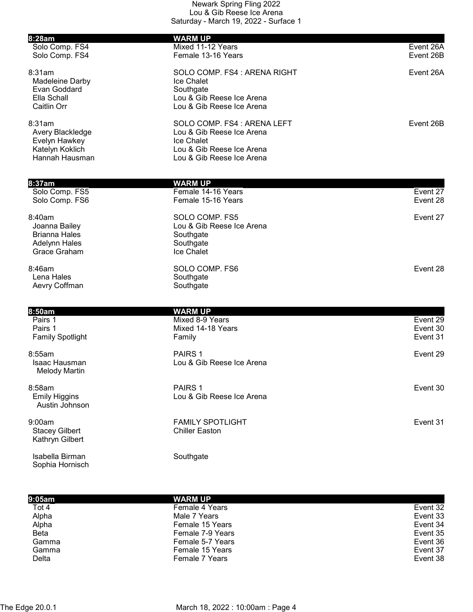| 8:28am                                                                           | <b>WARM UP</b>                                                                                                                   |                                  |
|----------------------------------------------------------------------------------|----------------------------------------------------------------------------------------------------------------------------------|----------------------------------|
| Solo Comp. FS4<br>Solo Comp. FS4                                                 | Mixed 11-12 Years<br>Female 13-16 Years                                                                                          | Event 26A<br>Event 26B           |
| 8:31am<br>Madeleine Darby<br>Evan Goddard<br>Ella Schall<br>Caitlin Orr          | SOLO COMP. FS4 : ARENA RIGHT<br>Ice Chalet<br>Southgate<br>Lou & Gib Reese Ice Arena<br>Lou & Gib Reese Ice Arena                | Event 26A                        |
| 8:31am<br>Avery Blackledge<br>Evelyn Hawkey<br>Katelyn Koklich<br>Hannah Hausman | SOLO COMP. FS4 : ARENA LEFT<br>Lou & Gib Reese Ice Arena<br>Ice Chalet<br>Lou & Gib Reese Ice Arena<br>Lou & Gib Reese Ice Arena | Event 26B                        |
| $8:37$ am                                                                        | <b>WARM UP</b>                                                                                                                   |                                  |
| Solo Comp. FS5<br>Solo Comp. FS6                                                 | Female 14-16 Years<br>Female 15-16 Years                                                                                         | Event 27<br>Event 28             |
| 8:40am<br>Joanna Bailey<br><b>Brianna Hales</b><br>Adelynn Hales<br>Grace Graham | SOLO COMP. FS5<br>Lou & Gib Reese Ice Arena<br>Southgate<br>Southgate<br>Ice Chalet                                              | Event 27                         |
| 8:46am<br>Lena Hales<br>Aevry Coffman                                            | SOLO COMP. FS6<br>Southgate<br>Southgate                                                                                         | Event 28                         |
| 8:50am                                                                           | <b>WARM UP</b>                                                                                                                   |                                  |
| Pairs 1<br>Pairs 1<br><b>Family Spotlight</b>                                    | Mixed 8-9 Years<br>Mixed 14-18 Years<br>Family                                                                                   | Event 29<br>Event 30<br>Event 31 |
| 8:55am<br>Isaac Hausman<br><b>Melody Martin</b>                                  | PAIRS <sub>1</sub><br>Lou & Gib Reese Ice Arena                                                                                  | Event 29                         |
| 8:58am<br><b>Emily Higgins</b><br>Austin Johnson                                 | PAIRS <sub>1</sub><br>Lou & Gib Reese Ice Arena                                                                                  | Event 30                         |
| 9:00am<br><b>Stacey Gilbert</b><br>Kathryn Gilbert                               | <b>FAMILY SPOTLIGHT</b><br><b>Chiller Easton</b>                                                                                 | Event 31                         |

Isabella Birman Southgate Sophia Hornisch

| 9:05am      | <b>WARM UP</b>   |          |
|-------------|------------------|----------|
| Tot 4       | Female 4 Years   | Event 32 |
| Alpha       | Male 7 Years     | Event 33 |
| Alpha       | Female 15 Years  | Event 34 |
| <b>Beta</b> | Female 7-9 Years | Event 35 |
| Gamma       | Female 5-7 Years | Event 36 |
| Gamma       | Female 15 Years  | Event 37 |
| Delta       | Female 7 Years   | Event 38 |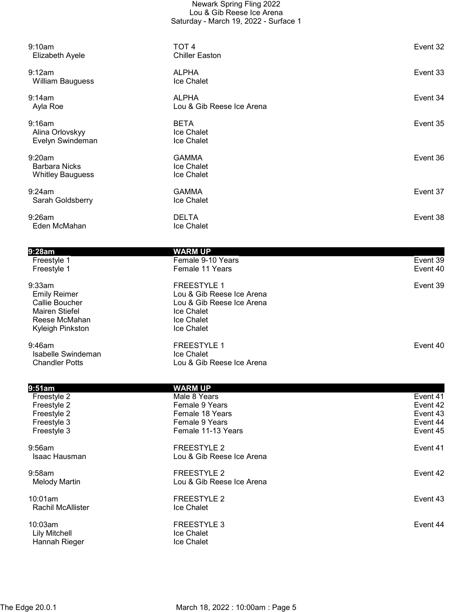| 9:10am<br>Elizabeth Ayele                                                                                     | TOT <sub>4</sub><br><b>Chiller Easton</b>                                                                              | Event 32             |
|---------------------------------------------------------------------------------------------------------------|------------------------------------------------------------------------------------------------------------------------|----------------------|
| 9:12am<br><b>William Bauguess</b>                                                                             | <b>ALPHA</b><br>Ice Chalet                                                                                             | Event 33             |
| 9:14am<br>Ayla Roe                                                                                            | <b>ALPHA</b><br>Lou & Gib Reese Ice Arena                                                                              | Event 34             |
| 9:16am<br>Alina Orlovskyy<br>Evelyn Swindeman                                                                 | <b>BETA</b><br>Ice Chalet<br>Ice Chalet                                                                                | Event 35             |
| 9:20am<br><b>Barbara Nicks</b><br><b>Whitley Bauguess</b>                                                     | <b>GAMMA</b><br>Ice Chalet<br>Ice Chalet                                                                               | Event 36             |
| 9:24am<br>Sarah Goldsberry                                                                                    | <b>GAMMA</b><br>Ice Chalet                                                                                             | Event 37             |
| 9:26am<br>Eden McMahan                                                                                        | <b>DELTA</b><br>Ice Chalet                                                                                             | Event 38             |
|                                                                                                               |                                                                                                                        |                      |
| 9:28am                                                                                                        | <b>WARM UP</b>                                                                                                         |                      |
| Freestyle 1<br>Freestyle 1                                                                                    | Female 9-10 Years<br>Female 11 Years                                                                                   | Event 39<br>Event 40 |
| 9:33am<br><b>Emily Reimer</b><br>Callie Boucher<br><b>Mairen Stiefel</b><br>Reese McMahan<br>Kyleigh Pinkston | <b>FREESTYLE 1</b><br>Lou & Gib Reese Ice Arena<br>Lou & Gib Reese Ice Arena<br>Ice Chalet<br>Ice Chalet<br>Ice Chalet | Event 39             |
| 9:46am<br>Isabelle Swindeman<br><b>Chandler Potts</b>                                                         | <b>FREESTYLE 1</b><br>Ice Chalet<br>Lou & Gib Reese Ice Arena                                                          | Event 40             |
| 9:51am                                                                                                        | <b>WARM UP</b>                                                                                                         |                      |
| Freestyle 2                                                                                                   | Male 8 Years                                                                                                           | Event 41             |
| Freestyle 2                                                                                                   | Female 9 Years                                                                                                         | Event 42             |
| Freestyle 2                                                                                                   | Female 18 Years                                                                                                        | Event 43             |
| Freestyle 3                                                                                                   | Female 9 Years                                                                                                         | Event 44             |

9:56am FREESTYLE 2 Event 41

9:58am **Exercise Exercise Service Service 2** Event 42 Melody Martin **Melody Martin** Lou & Gib Reese Ice Arena

10:01am FREESTYLE 2 Event 43 Rachil McAllister

10:03am FREESTYLE 3 Event 44 Lily Mitchell<br>
Hannah Rieger<br>
Hannah Rieger<br>
Ice Chalet Hannah Rieger

Freestyle 3 Event 45

Lou & Gib Reese Ice Arena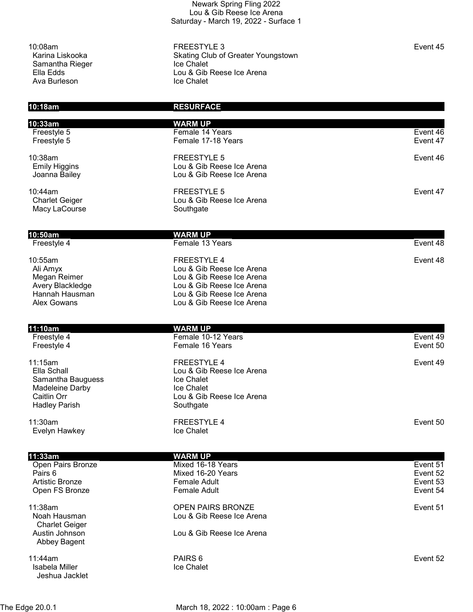Samantha Rieger **Internal Samantha Rieger** Internal Revolution and Trustal Revolution Art and Trustal Revolution Ava Burleson

10:08am FREESTYLE 3 Event 45 Karina Liskooka **Skating Club of Greater Youngstown** Ella Edds **Lou & Gib Reese Ice Arena**<br>Ava Burleson **Lou & Chalet** Chalet

## 10:18am RESURFACE 10:33am WARM UP Freestyle 5 Female 14 Years Event 46<br>Freestyle 5 Female 17-18 Years Event 47 Female 17-18 Years 10:38am FREESTYLE 5 Event 46 Emily Higgins **Lou & Gib Reese Ice Arena**  Joanna Bailey Lou & Gib Reese Ice Arena 10:44am FREESTYLE 5 Event 47 Lou & Gib Reese Ice Arena Macy LaCourse **Southgate** Southgate **10:50am** WARM UP<br>
Freestyle 4 **Example 13 Female 13 Years Event 48** 10:55am FREESTYLE 4 Event 48 Ali Amyx Lou & Gib Reese Ice Arena Megan Reimer **Lou & Gib Reese Ice Arena** Avery Blackledge **Lou & Gib Reese Ice Arena**<br>Hannah Hausman **Lou & Gib Reese Ice Arena** Lou & Gib Reese Ice Arena Alex Gowans Lou & Gib Reese Ice Arena **11:10am** WARM UP<br>Freestyle 4 **Marshall** Female 10-**Female 10-12 Years Event 49** Freestyle 4 **Female 16 Years Exercise 16 Years** Event 50 11:15am FREESTYLE 4 Event 49 Ella Schall Lou & Gib Reese Ice Arena Samantha Bauguess Ice Chalet Madeleine Darby Caitlin Orr Caitlin Orr Caitlin Orr Caitlin Orr Caitlin Orr Caitlin Orr Caitlin Orr Caitlin Orr Caitlin Orr Cai Hadley Parish Southgate 11:30am FREESTYLE 4 Event 50 Evelyn Hawkey **Ice Chalet** 11:33am WARM UP Open Pairs Bronze **Exercise State Accord Mixed 16-18 Years Accord Contract Contract Contract Contract Contract Contract Contract Contract Contract Contract Contract Contract Contract Contract Contract Contract Contract Con** Pairs 6 **Mixed 16-20 Years Event 52** Mixed 16-20 Years **Event 52**  Artistic Bronze Female Adult Event 53 Open FS Bronze **Frankling Community** Female Adult **Community Community Community Community Frankling Community Community Frankling Community Frankling Community Frankling Community Community Community Community Community C** 11:38am OPEN PAIRS BRONZE Event 51 Noah Hausman Lou & Gib Reese Ice Arena Charlet Geiger Austin Johnson Lou & Gib Reese Ice Arena Abbey Bagent 11:44am PAIRS 6 Event 52 Isabela Miller **Internal Community** Ice Chalet

Jeshua Jacklet

The Edge 20.0.1 March 18, 2022 : 10:00am : Page 6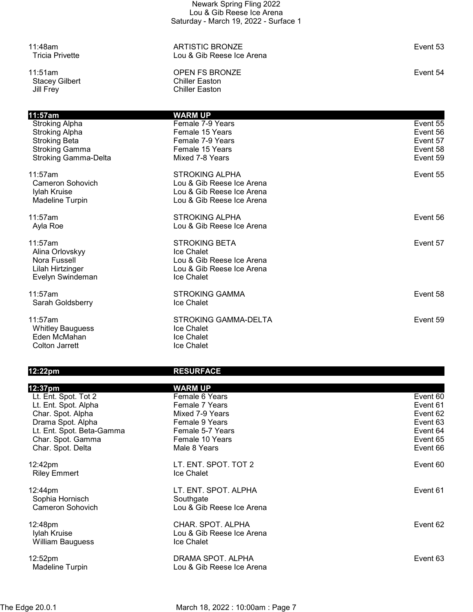Stacey Gilbert<br>Jill Frey

11:48am ARTISTIC BRONZE Event 53 Lou & Gib Reese Ice Arena

11:51am OPEN FS BRONZE Event 54 Chiller Easton

| 11:57am                     | <b>WARM UP</b>              |          |
|-----------------------------|-----------------------------|----------|
| <b>Stroking Alpha</b>       | Female 7-9 Years            | Event 55 |
| <b>Stroking Alpha</b>       | Female 15 Years             | Event 56 |
| <b>Stroking Beta</b>        | Female 7-9 Years            | Event 57 |
| <b>Stroking Gamma</b>       | Female 15 Years             | Event 58 |
| <b>Stroking Gamma-Delta</b> | Mixed 7-8 Years             | Event 59 |
| 11:57am                     | <b>STROKING ALPHA</b>       | Event 55 |
| Cameron Sohovich            | Lou & Gib Reese Ice Arena   |          |
| Iylah Kruise                | Lou & Gib Reese Ice Arena   |          |
| <b>Madeline Turpin</b>      | Lou & Gib Reese Ice Arena   |          |
| 11:57am                     | <b>STROKING ALPHA</b>       | Event 56 |
| Ayla Roe                    | Lou & Gib Reese Ice Arena   |          |
| 11:57am                     | <b>STROKING BETA</b>        | Event 57 |
| Alina Orlovskyy             | Ice Chalet                  |          |
| Nora Fussell                | Lou & Gib Reese Ice Arena   |          |
| Lilah Hirtzinger            | Lou & Gib Reese Ice Arena   |          |
| Evelyn Swindeman            | Ice Chalet                  |          |
| 11:57am                     | <b>STROKING GAMMA</b>       | Event 58 |
| Sarah Goldsberry            | Ice Chalet                  |          |
|                             |                             |          |
| 11:57am                     | <b>STROKING GAMMA-DELTA</b> | Event 59 |
| <b>Whitley Bauguess</b>     | Ice Chalet                  |          |
| Eden McMahan                | Ice Chalet                  |          |
| Colton Jarrett              | Ice Chalet                  |          |

## 12:22pm RESURFACE

| 12:37pm                                 | <b>WARM UP</b>                                 |          |
|-----------------------------------------|------------------------------------------------|----------|
| Lt. Ent. Spot. Tot 2                    | Female 6 Years                                 | Event 60 |
| Lt. Ent. Spot. Alpha                    | Female 7 Years                                 | Event 61 |
| Char. Spot. Alpha                       | Mixed 7-9 Years                                | Event 62 |
| Drama Spot. Alpha                       | Female 9 Years                                 | Event 63 |
| Lt. Ent. Spot. Beta-Gamma               | Female 5-7 Years                               | Event 64 |
| Char. Spot. Gamma                       | Female 10 Years                                | Event 65 |
| Char. Spot. Delta                       | Male 8 Years                                   | Event 66 |
| 12:42pm<br><b>Riley Emmert</b>          | LT. ENT. SPOT. TOT 2<br>Ice Chalet             | Event 60 |
| 12:44pm                                 | LT. ENT. SPOT. ALPHA                           | Event 61 |
| Sophia Hornisch                         | Southgate                                      |          |
| Cameron Sohovich                        | Lou & Gib Reese Ice Arena                      |          |
|                                         |                                                |          |
| 12:48pm                                 | CHAR. SPOT. ALPHA<br>Lou & Gib Reese Ice Arena | Event 62 |
| Iylah Kruise<br><b>William Bauguess</b> | Ice Chalet                                     |          |
|                                         |                                                |          |
| 12:52pm                                 | DRAMA SPOT. ALPHA                              | Event 63 |
| Madeline Turpin                         | Lou & Gib Reese Ice Arena                      |          |
|                                         |                                                |          |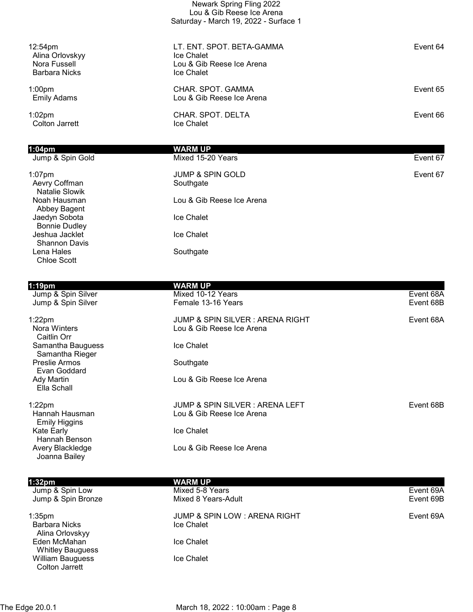|                                                                                | Newark Spring Fling 2022<br>Lou & Gib Reese Ice Arena<br>Saturday - March 19, 2022 - Surface 1 |          |
|--------------------------------------------------------------------------------|------------------------------------------------------------------------------------------------|----------|
| 12:54 <sub>pm</sub><br>Alina Orlovskyy<br>Nora Fussell<br><b>Barbara Nicks</b> | LT. ENT. SPOT. BETA-GAMMA<br>Ice Chalet<br>Lou & Gib Reese Ice Arena<br>Ice Chalet             | Event 64 |
| 1:00 <sub>pm</sub><br><b>Emily Adams</b>                                       | CHAR. SPOT. GAMMA<br>Lou & Gib Reese Ice Arena                                                 | Event 65 |
| $1:02$ pm<br><b>Colton Jarrett</b>                                             | CHAR. SPOT. DELTA<br>Ice Chalet                                                                | Event 66 |
| $1:04$ pm                                                                      | <b>WARM UP</b>                                                                                 |          |
| Jump & Spin Gold                                                               | Mixed 15-20 Years                                                                              | Event 67 |
| $1:07$ pm<br>Aevry Coffman<br>Natalie Slowik                                   | <b>JUMP &amp; SPIN GOLD</b><br>Southgate                                                       | Event 67 |
| Noah Hausman<br>Abbey Bagent                                                   | Lou & Gib Reese Ice Arena                                                                      |          |
| Jaedyn Sobota<br><b>Bonnie Dudley</b>                                          | Ice Chalet                                                                                     |          |
| Jeshua Jacklet<br><b>Shannon Davis</b>                                         | Ice Chalet                                                                                     |          |
| Lena Hales<br><b>Chloe Scott</b>                                               | Southgate                                                                                      |          |

| $1:19$ pm                              | WARM UP                                    |           |
|----------------------------------------|--------------------------------------------|-----------|
| Jump & Spin Silver                     | Mixed 10-12 Years                          | Event 68A |
| Jump & Spin Silver                     | Female 13-16 Years                         | Event 68B |
| $1:22$ pm                              | <b>JUMP &amp; SPIN SILVER: ARENA RIGHT</b> | Event 68A |
| Nora Winters<br>Caitlin Orr            | Lou & Gib Reese Ice Arena                  |           |
| Samantha Bauguess<br>Samantha Rieger   | Ice Chalet                                 |           |
| Preslie Armos<br>Evan Goddard          | Southgate                                  |           |
| Ady Martin<br>Ella Schall              | Lou & Gib Reese Ice Arena                  |           |
| $1:22$ pm                              | JUMP & SPIN SILVER : ARENA LEFT            | Event 68B |
| Hannah Hausman<br><b>Emily Higgins</b> | Lou & Gib Reese Ice Arena                  |           |
| Kate Early<br>Hannah Benson            | Ice Chalet                                 |           |
| Avery Blackledge<br>Joanna Bailey      | Lou & Gib Reese Ice Arena                  |           |

| 1:32 <sub>pm</sub><br>Jump & Spin Low<br>Jump & Spin Bronze   | <b>WARM UP</b><br>Mixed 5-8 Years<br>Mixed 8 Years-Adult     | Event 69A<br>Event 69B |
|---------------------------------------------------------------|--------------------------------------------------------------|------------------------|
| 1:35 <sub>pm</sub><br><b>Barbara Nicks</b><br>Alina Orlovskyy | <b>JUMP &amp; SPIN LOW: ARENA RIGHT</b><br><b>Ice Chalet</b> | Event 69A              |
| Eden McMahan<br><b>Whitley Bauguess</b>                       | Ice Chalet                                                   |                        |
| <b>William Bauguess</b><br>Colton Jarrett                     | Ice Chalet                                                   |                        |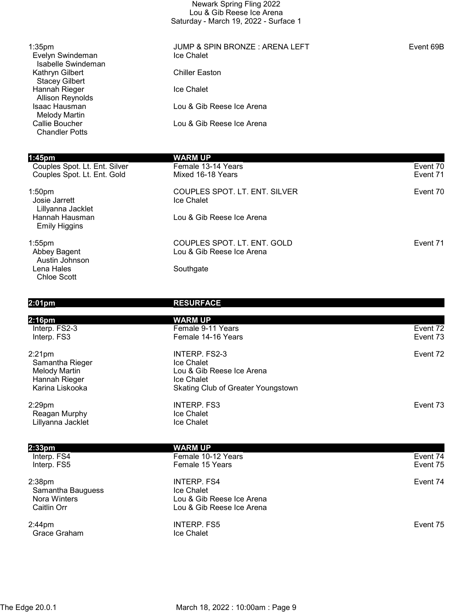| Newark Spring Fling 2022              |
|---------------------------------------|
| Lou & Gib Reese Ice Arena             |
| Saturday - March 19, 2022 - Surface 1 |

| 1:35 <sub>pm</sub><br>Evelyn Swindeman<br>Isabelle Swindeman | JUMP & SPIN BRONZE: ARENA LEFT<br>Ice Chalet | Event 69B |
|--------------------------------------------------------------|----------------------------------------------|-----------|
| Kathryn Gilbert<br><b>Stacey Gilbert</b>                     | <b>Chiller Easton</b>                        |           |
| Hannah Rieger<br><b>Allison Reynolds</b>                     | Ice Chalet                                   |           |
| Isaac Hausman<br><b>Melody Martin</b>                        | Lou & Gib Reese Ice Arena                    |           |
| Callie Boucher<br><b>Chandler Potts</b>                      | Lou & Gib Reese Ice Arena                    |           |
| 1:45 <sub>pm</sub>                                           | <b>WARM UP</b>                               |           |
| Couples Spot. Lt. Ent. Silver                                | Female 13-14 Years                           | Event 70  |
| Couples Spot. Lt. Ent. Gold                                  | Mixed 16-18 Years                            | Event 71  |
| 1:50 <sub>pm</sub>                                           | COUPLES SPOT. LT. ENT. SILVER                | Event 70  |
| Josie Jarrett<br>Lillyanna Jacklet                           | Ice Chalet                                   |           |
| Hannah Hausman<br><b>Emily Higgins</b>                       | Lou & Gib Reese Ice Arena                    |           |

1:55pm COUPLES SPOT. LT. ENT. GOLD Event 71 Austin Johnson Lena Hales **Southgate** Southgate Chloe Scott

2:33pm<br>
Interp. FS4 **WARM UP**<br>
Female 10-

2:38pm INTERP. FS4 Event 74 Samantha Bauguess<br>
Nora Winters<br>
Nora Winters<br>
1990 - Saman Lou & Gib

2:44pm INTERP. FS5 Event 75 Grace Graham **Ice Chalet** 

## 2:01pm RESURFACE

Lou & Gib Reese Ice Arena

| 2:16pm                                                                         | WARM UP                                                                                                      |          |
|--------------------------------------------------------------------------------|--------------------------------------------------------------------------------------------------------------|----------|
| Interp. FS2-3                                                                  | Female 9-11 Years                                                                                            | Event 72 |
| Interp. FS3                                                                    | Female 14-16 Years                                                                                           | Event 73 |
| 2:21pm<br>Samantha Rieger<br>Melody Martin<br>Hannah Rieger<br>Karina Liskooka | INTERP. FS2-3<br>Ice Chalet<br>Lou & Gib Reese Ice Arena<br>Ice Chalet<br>Skating Club of Greater Youngstown | Event 72 |
| 2:29pm<br>Reagan Murphy<br>Lillyanna Jacklet                                   | <b>INTERP. FS3</b><br><b>Ice Chalet</b><br><b>Ice Chalet</b>                                                 | Event 73 |

| 2.JJJII     | <i>WAND</i>        |          |
|-------------|--------------------|----------|
| Interp. FS4 | Female 10-12 Years | Event 74 |
| Interp. FS5 | Female 15 Years    | Event 75 |
|             |                    |          |

Nora Winters **Lou & Gib Reese Ice Arena**<br>Caitlin Orr **Caitlin Orr** Lou & Gib Reese Ice Arena Lou & Gib Reese Ice Arena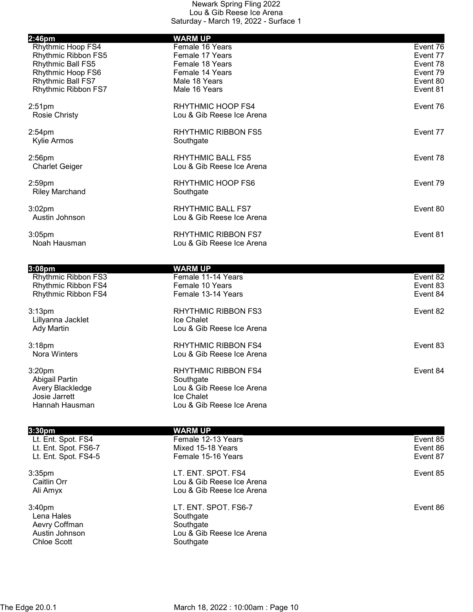| $2:46$ pm                                                                                                                      | <b>WARM UP</b>                                                                                                  |                                                                      |
|--------------------------------------------------------------------------------------------------------------------------------|-----------------------------------------------------------------------------------------------------------------|----------------------------------------------------------------------|
| Rhythmic Hoop FS4<br>Rhythmic Ribbon FS5<br>Rhythmic Ball FS5<br>Rhythmic Hoop FS6<br>Rhythmic Ball FS7<br>Rhythmic Ribbon FS7 | Female 16 Years<br>Female 17 Years<br>Female 18 Years<br>Female 14 Years<br>Male 18 Years<br>Male 16 Years      | Event 76<br>Event 77<br>Event 78<br>Event 79<br>Event 80<br>Event 81 |
| 2:51 <sub>pm</sub><br><b>Rosie Christy</b>                                                                                     | RHYTHMIC HOOP FS4<br>Lou & Gib Reese Ice Arena                                                                  | Event 76                                                             |
| $2:54$ pm<br><b>Kylie Armos</b>                                                                                                | <b>RHYTHMIC RIBBON FS5</b><br>Southgate                                                                         | Event 77                                                             |
| $2:56$ pm<br><b>Charlet Geiger</b>                                                                                             | <b>RHYTHMIC BALL FS5</b><br>Lou & Gib Reese Ice Arena                                                           | Event 78                                                             |
| 2:59pm<br><b>Riley Marchand</b>                                                                                                | RHYTHMIC HOOP FS6<br>Southgate                                                                                  | Event 79                                                             |
| $3:02$ pm<br>Austin Johnson                                                                                                    | <b>RHYTHMIC BALL FS7</b><br>Lou & Gib Reese Ice Arena                                                           | Event 80                                                             |
| $3:05$ pm<br>Noah Hausman                                                                                                      | <b>RHYTHMIC RIBBON FS7</b><br>Lou & Gib Reese Ice Arena                                                         | Event 81                                                             |
| 3:08 <sub>pm</sub><br>Rhythmic Ribbon FS3<br>Rhythmic Ribbon FS4<br>Rhythmic Ribbon FS4                                        | <b>WARM UP</b><br>Female 11-14 Years<br>Female 10 Years<br>Female 13-14 Years                                   | Event 82<br>Event 83<br>Event 84                                     |
| 3:13 <sub>pm</sub><br>Lillyanna Jacklet<br><b>Ady Martin</b>                                                                   | <b>RHYTHMIC RIBBON FS3</b><br>Ice Chalet<br>Lou & Gib Reese Ice Arena                                           | Event 82                                                             |
| 3:18 <sub>pm</sub><br>Nora Winters                                                                                             | <b>RHYTHMIC RIBBON FS4</b><br>Lou & Gib Reese Ice Arena                                                         | Event 83                                                             |
| 3:20 <sub>pm</sub><br>Abigail Partin<br>Avery Blackledge<br>Josie Jarrett<br>Hannah Hausman                                    | <b>RHYTHMIC RIBBON FS4</b><br>Southgate<br>Lou & Gib Reese Ice Arena<br>Ice Chalet<br>Lou & Gib Reese Ice Arena | Event 84                                                             |

| 3:30 <sub>pm</sub>   | WARM UP                   |          |
|----------------------|---------------------------|----------|
| Lt. Ent. Spot. FS4   | Female 12-13 Years        | Event 85 |
| Lt. Ent. Spot. FS6-7 | Mixed 15-18 Years         | Event 86 |
| Lt. Ent. Spot. FS4-5 | Female 15-16 Years        | Event 87 |
| $3:35$ pm            | LT. ENT. SPOT. FS4        | Event 85 |
| Caitlin Orr          | Lou & Gib Reese Ice Arena |          |
| Ali Amyx             | Lou & Gib Reese Ice Arena |          |
| 3:40 <sub>pm</sub>   | LT. ENT. SPOT. FS6-7      | Event 86 |
| Lena Hales           | Southgate                 |          |
| Aevry Coffman        | Southgate                 |          |
| Austin Johnson       | Lou & Gib Reese Ice Arena |          |
| <b>Chloe Scott</b>   | Southgate                 |          |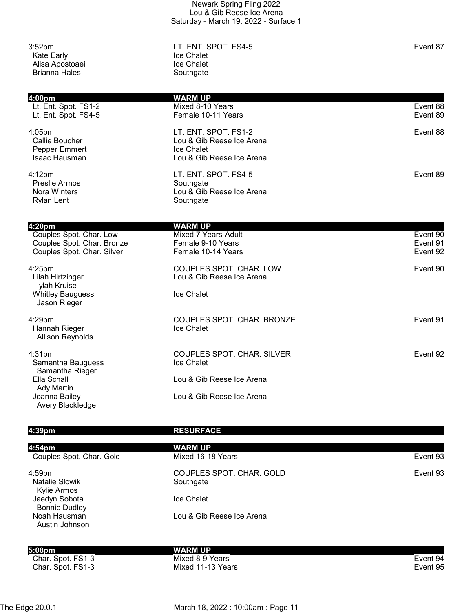| 3:52 <sub>pm</sub><br><b>Kate Early</b><br>Alisa Apostoaei<br><b>Brianna Hales</b> | LT. ENT. SPOT. FS4-5<br>Ice Chalet<br>Ice Chalet<br>Southgate | Event 87 |
|------------------------------------------------------------------------------------|---------------------------------------------------------------|----------|
| 4:00pm                                                                             | <b>WARM UP</b>                                                |          |
| Lt. Ent. Spot. FS1-2                                                               | Mixed 8-10 Years                                              | Event 88 |
| Lt. Ent. Spot. FS4-5                                                               | Female 10-11 Years                                            | Event 89 |
| $4:05$ pm                                                                          | LT. ENT. SPOT. FS1-2                                          | Event 88 |
| Callie Boucher                                                                     | Lou & Gib Reese Ice Arena                                     |          |
| Pepper Emmert                                                                      | Ice Chalet                                                    |          |
| Isaac Hausman                                                                      | Lou & Gib Reese Ice Arena                                     |          |
| 4:12 <sub>pm</sub>                                                                 | LT. ENT. SPOT. FS4-5                                          | Event 89 |
| <b>Preslie Armos</b>                                                               | Southgate                                                     |          |
| Nora Winters                                                                       | Lou & Gib Reese Ice Arena                                     |          |
| <b>Rylan Lent</b>                                                                  | Southgate                                                     |          |
| 4:20pm                                                                             | WARM UP                                                       |          |
| $\sim$ $\sim$ $\sim$ $\sim$                                                        | .                                                             | $\sim$   |

| 7.4VPIII<br>Couples Spot. Char. Low<br>Couples Spot. Char. Bronze<br>Couples Spot. Char. Silver | wani vi<br>Mixed 7 Years-Adult<br>Female 9-10 Years<br>Female 10-14 Years | Event 90<br>Event 91<br>Event 92 |
|-------------------------------------------------------------------------------------------------|---------------------------------------------------------------------------|----------------------------------|
| $4:25$ pm<br>Lilah Hirtzinger<br>Iylah Kruise<br><b>Whitley Bauguess</b><br>Jason Rieger        | <b>COUPLES SPOT. CHAR. LOW</b><br>Lou & Gib Reese Ice Arena<br>Ice Chalet | Event 90                         |
| $4:29$ pm<br>Hannah Rieger<br><b>Allison Reynolds</b>                                           | COUPLES SPOT. CHAR. BRONZE<br>Ice Chalet                                  | Event 91                         |
| $4:31$ pm<br>Samantha Bauguess<br>Samantha Rieger                                               | <b>COUPLES SPOT. CHAR. SILVER</b><br>Ice Chalet                           | Event 92                         |
| Ella Schall<br><b>Ady Martin</b>                                                                | Lou & Gib Reese Ice Arena                                                 |                                  |
| Joanna Bailey<br>Avery Blackledge                                                               | Lou & Gib Reese Ice Arena                                                 |                                  |

## 4:39pm RESURFACE

| 4:54pm<br>Couples Spot. Char. Gold         | <b>WARM UP</b><br>Mixed 16-18 Years   | Event 93 |
|--------------------------------------------|---------------------------------------|----------|
| $4:59$ pm<br>Natalie Slowik<br>Kylie Armos | COUPLES SPOT. CHAR. GOLD<br>Southgate | Event 93 |
| Jaedyn Sobota<br><b>Bonnie Dudley</b>      | Ice Chalet                            |          |
| Noah Hausman<br>Austin Johnson             | Lou & Gib Reese Ice Arena             |          |
| 5:08pm                                     | <b>WARM UP</b>                        |          |
| Char. Spot. FS1-3                          | Mixed 8-9 Years                       | Event 94 |
| Char. Spot. FS1-3                          | Mixed 11-13 Years                     | Event 95 |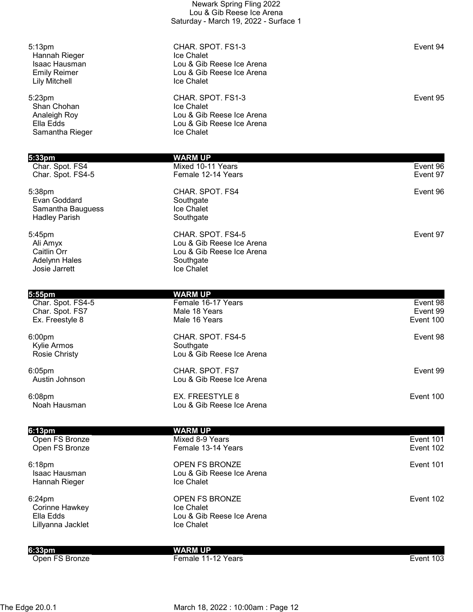|                                                                                                            | Saturday - March 19, 2022 - Surface 1                                                                   |                                   |
|------------------------------------------------------------------------------------------------------------|---------------------------------------------------------------------------------------------------------|-----------------------------------|
| 5:13 <sub>pm</sub><br>Hannah Rieger<br><b>Isaac Hausman</b><br><b>Emily Reimer</b><br><b>Lily Mitchell</b> | CHAR. SPOT. FS1-3<br>Ice Chalet<br>Lou & Gib Reese Ice Arena<br>Lou & Gib Reese Ice Arena<br>Ice Chalet | Event 94                          |
| 5:23pm<br>Shan Chohan<br>Analeigh Roy<br>Ella Edds<br>Samantha Rieger                                      | CHAR. SPOT. FS1-3<br>Ice Chalet<br>Lou & Gib Reese Ice Arena<br>Lou & Gib Reese Ice Arena<br>Ice Chalet | Event 95                          |
| 5:33pm                                                                                                     | <b>WARM UP</b>                                                                                          |                                   |
| Char. Spot. FS4<br>Char. Spot. FS4-5                                                                       | Mixed 10-11 Years<br>Female 12-14 Years                                                                 | Event 96<br>Event 97              |
| 5:38pm<br>Evan Goddard<br>Samantha Bauguess<br><b>Hadley Parish</b>                                        | CHAR. SPOT. FS4<br>Southgate<br>Ice Chalet<br>Southgate                                                 | Event 96                          |
| 5:45pm<br>Ali Amyx<br>Caitlin Orr<br>Adelynn Hales<br>Josie Jarrett                                        | CHAR. SPOT. FS4-5<br>Lou & Gib Reese Ice Arena<br>Lou & Gib Reese Ice Arena<br>Southgate<br>Ice Chalet  | Event 97                          |
| 5:55pm                                                                                                     | <b>WARM UP</b>                                                                                          |                                   |
| Char. Spot. FS4-5<br>Char. Spot. FS7<br>Ex. Freestyle 8                                                    | Female 16-17 Years<br>Male 18 Years<br>Male 16 Years                                                    | Event 98<br>Event 99<br>Event 100 |
| 6:00pm<br>Kylie Armos<br><b>Rosie Christy</b>                                                              | CHAR. SPOT. FS4-5<br>Southgate<br>Lou & Gib Reese Ice Arena                                             | Event 98                          |
| $6:05$ pm<br>Austin Johnson                                                                                | CHAR. SPOT. FS7<br>Lou & Gib Reese Ice Arena                                                            | Event 99                          |
| 6:08pm<br>Noah Hausman                                                                                     | EX. FREESTYLE 8<br>Lou & Gib Reese Ice Arena                                                            | Event 100                         |
| 6:13pm                                                                                                     | <b>WARM UP</b>                                                                                          |                                   |
| Open FS Bronze<br>Open FS Bronze                                                                           | Mixed 8-9 Years<br>Female 13-14 Years                                                                   | Event 101<br>Event 102            |
| 6:18pm<br>Isaac Hausman<br>Hannah Rieger                                                                   | OPEN FS BRONZE<br>Lou & Gib Reese Ice Arena<br>Ice Chalet                                               | Event 101                         |
| 6:24pm<br>Corinne Hawkey<br>Ella Edds<br>Lillyanna Jacklet                                                 | OPEN FS BRONZE<br>Ice Chalet<br>Lou & Gib Reese Ice Arena<br>Ice Chalet                                 | Event 102                         |
| 6:33 <sub>pm</sub>                                                                                         | <b>WARM UP</b>                                                                                          |                                   |
| Open FS Bronze                                                                                             | Female 11-12 Years                                                                                      | Event 103                         |

Newark Spring Fling 2022 Lou & Gib Reese Ice Arena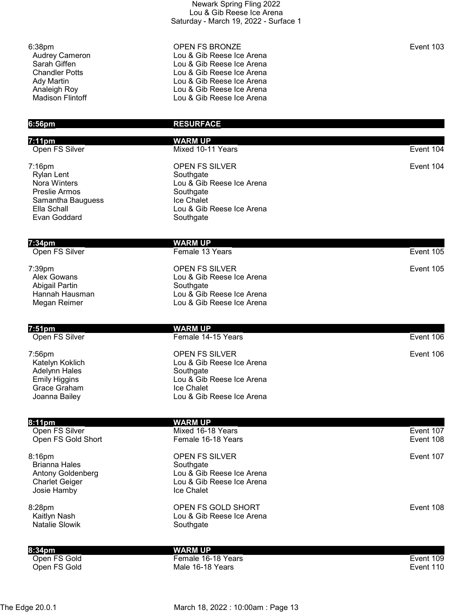| Newark Spring Fling 2022              |
|---------------------------------------|
| Lou & Gib Reese Ice Arena             |
| Saturday - March 19, 2022 - Surface 1 |

| 6:38pm<br><b>Audrey Cameron</b><br>Sarah Giffen | <b>OPEN FS BRONZE</b><br>Lou & Gib Reese Ice Arena<br>Lou & Gib Reese Ice Arena | Event 103 |
|-------------------------------------------------|---------------------------------------------------------------------------------|-----------|
| <b>Chandler Potts</b><br>Ady Martin             | Lou & Gib Reese Ice Arena<br>Lou & Gib Reese Ice Arena                          |           |
| Analeigh Roy<br><b>Madison Flintoff</b>         | Lou & Gib Reese Ice Arena<br>Lou & Gib Reese Ice Arena                          |           |
| $6:56$ pm                                       | <b>RESURFACE</b>                                                                |           |

| 7:11pm                                                                                                    | <b>WARM UP</b>                                                                                                                |           |
|-----------------------------------------------------------------------------------------------------------|-------------------------------------------------------------------------------------------------------------------------------|-----------|
| Open FS Silver                                                                                            | Mixed 10-11 Years                                                                                                             | Event 104 |
| 7:16pm<br>Rylan Lent<br>Nora Winters<br>Preslie Armos<br>Samantha Bauguess<br>Ella Schall<br>Evan Goddard | OPEN FS SILVER<br>Southgate<br>Lou & Gib Reese Ice Arena<br>Southgate<br>Ice Chalet<br>Lou & Gib Reese Ice Arena<br>Southgate | Event 104 |
| 7:34pm                                                                                                    | <b>WARM UP</b>                                                                                                                |           |
| Open FS Silver                                                                                            | Female 13 Years                                                                                                               | Event 105 |
| 7:39pm<br><b>Alex Gowans</b><br>Abigail Partin<br>Hannah Hausman<br>Megan Reimer                          | <b>OPEN FS SILVER</b><br>Lou & Gib Reese Ice Arena<br>Southgate<br>Lou & Gib Reese Ice Arena<br>Lou & Gib Reese Ice Arena     | Event 105 |
| 7:51pm                                                                                                    | <b>WARM UP</b>                                                                                                                |           |
| Open FS Silver                                                                                            | Female 14-15 Years                                                                                                            | Event 106 |

Lou & Gib Reese Ice Arena

Enathgate<br>Lou & Gib Reese Ice Arena<br>Ice Chalet

Lou & Gib Reese Ice Arena

7:56pm **Event 106** OPEN FS SILVER Adelyn Koklich<br>Adelynn Hales<br>Emily Higgins Grace Graham<br>Joanna Bailey

| 8:11 <sub>pm</sub>                                                                                    | WARM UP                                                                                                    |           |
|-------------------------------------------------------------------------------------------------------|------------------------------------------------------------------------------------------------------------|-----------|
| Open FS Silver                                                                                        | Mixed 16-18 Years                                                                                          | Event 107 |
| Open FS Gold Short                                                                                    | Female 16-18 Years                                                                                         | Event 108 |
| $8:16$ pm<br><b>Brianna Hales</b><br><b>Antony Goldenberg</b><br><b>Charlet Geiger</b><br>Josie Hamby | <b>OPEN FS SILVER</b><br>Southgate<br>Lou & Gib Reese Ice Arena<br>Lou & Gib Reese Ice Arena<br>Ice Chalet | Event 107 |
| $8:28$ pm<br>Kaitlyn Nash<br><b>Natalie Slowik</b>                                                    | OPEN FS GOLD SHORT<br>Lou & Gib Reese Ice Arena<br>Southgate                                               | Event 108 |

8:34pm WARM UP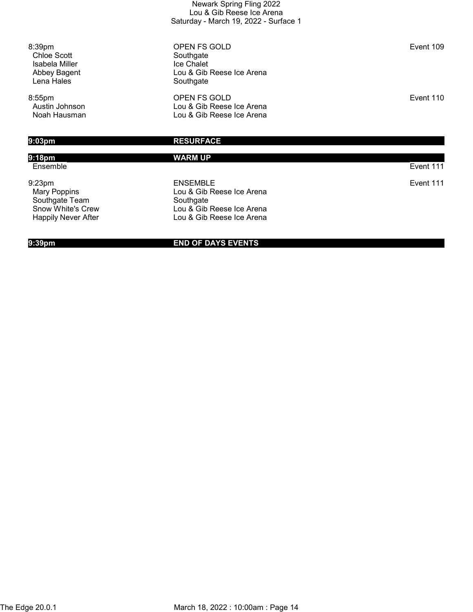| Newark Spring Fling 2022              |
|---------------------------------------|
| Lou & Gib Reese Ice Arena             |
| Saturday - March 19, 2022 - Surface 1 |

8:39pm OPEN FS GOLD Event 109 Chloe Scott<br>
Isabela Miller Southgate<br>
Ice Chalet Lou & Gib Reese Ice Arena<br>Southgate

8:55pm OPEN FS GOLD Event 110 Austin Johnson Lou & Gib Reese Ice Arena Lou & Gib Reese Ice Arena

Isabela Miller<br>Abbey Bagent

Lena Hales

## 9:03pm RESURFACE

# 9:18pm WARM UP Ensemble Event 111 9:23pm ENSEMBLE Event 111 Mary Poppins **Mary Poppins**<br>
Southgate Team
Southgate Team
Southgate **Southgate** Southgate Team<br>Snow White's Crew Snow White's Crew Lou & Gib Reese Ice Arena<br>
Happily Never After Lou & Gib Reese Ice Arena Lou & Gib Reese Ice Arena

### 9:39pm END OF DAYS EVENTS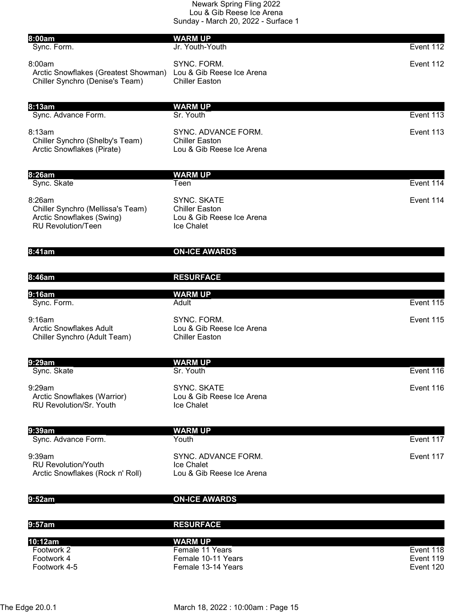| 8:00am                                                                                                | <b>WARM UP</b>                                                                         |                        |
|-------------------------------------------------------------------------------------------------------|----------------------------------------------------------------------------------------|------------------------|
| Sync. Form.                                                                                           | Jr. Youth-Youth                                                                        | Event 112              |
| 8:00am<br>Arctic Snowflakes (Greatest Showman)<br>Chiller Synchro (Denise's Team)                     | SYNC. FORM.<br>Lou & Gib Reese Ice Arena<br><b>Chiller Easton</b>                      | Event 112              |
|                                                                                                       |                                                                                        |                        |
| 8:13am<br>Sync. Advance Form.                                                                         | <b>WARM UP</b><br>Sr. Youth                                                            | Event 113              |
| 8:13am<br>Chiller Synchro (Shelby's Team)<br>Arctic Snowflakes (Pirate)                               | SYNC. ADVANCE FORM.<br><b>Chiller Easton</b><br>Lou & Gib Reese Ice Arena              | Event 113              |
| 8:26am                                                                                                | <b>WARM UP</b>                                                                         |                        |
| Sync. Skate                                                                                           | Teen                                                                                   | Event 114              |
| 8:26am<br>Chiller Synchro (Mellissa's Team)<br>Arctic Snowflakes (Swing)<br><b>RU Revolution/Teen</b> | <b>SYNC. SKATE</b><br><b>Chiller Easton</b><br>Lou & Gib Reese Ice Arena<br>Ice Chalet | Event 114              |
| 8:41am                                                                                                | <b>ON-ICE AWARDS</b>                                                                   |                        |
| 8:46am                                                                                                | <b>RESURFACE</b>                                                                       |                        |
| 9:16am                                                                                                | <b>WARM UP</b>                                                                         |                        |
| Sync. Form.                                                                                           | Adult                                                                                  | Event 115              |
| 9:16am<br><b>Arctic Snowflakes Adult</b><br>Chiller Synchro (Adult Team)                              | SYNC. FORM.<br>Lou & Gib Reese Ice Arena<br><b>Chiller Easton</b>                      | Event 115              |
| 9:29am<br>Sync. Skate                                                                                 | <b>WARM UP</b><br>Sr. Youth                                                            | Event 116              |
|                                                                                                       |                                                                                        |                        |
| 9:29am<br>Arctic Snowflakes (Warrior)<br><b>RU Revolution/Sr. Youth</b>                               | <b>SYNC, SKATE</b><br>Lou & Gib Reese Ice Arena<br><b>Ice Chalet</b>                   | Event 116              |
| 9:39am                                                                                                | <b>WARM UP</b>                                                                         |                        |
| Sync. Advance Form.                                                                                   | Youth                                                                                  | Event 117              |
| 9:39am<br><b>RU Revolution/Youth</b><br>Arctic Snowflakes (Rock n' Roll)                              | SYNC. ADVANCE FORM.<br>Ice Chalet<br>Lou & Gib Reese Ice Arena                         | Event 117              |
| 9:52am                                                                                                | <b>ON-ICE AWARDS</b>                                                                   |                        |
| 9:57am                                                                                                | <b>RESURFACE</b>                                                                       |                        |
| 10:12am                                                                                               | <b>WARM UP</b>                                                                         |                        |
| Footwork 2<br>Footwork 4                                                                              | Female 11 Years<br>Female 10-11 Years                                                  | Event 118<br>Event 119 |
| Footwork 4-5                                                                                          | Female 13-14 Years                                                                     | Event 120              |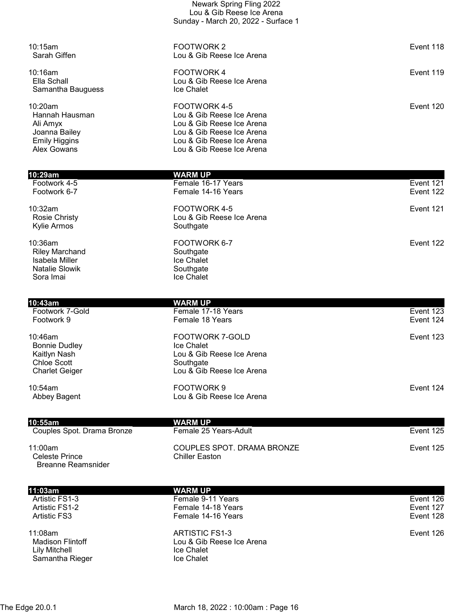| l10:29am                  | WARM UP                                                |           |
|---------------------------|--------------------------------------------------------|-----------|
| Alex Gowans               | Lou & Gib Reese Ice Arena                              |           |
| <b>Emily Higgins</b>      | Lou & Gib Reese Ice Arena                              |           |
| Ali Amyx<br>Joanna Bailey | Lou & Gib Reese Ice Arena<br>Lou & Gib Reese Ice Arena |           |
| Hannah Hausman            | Lou & Gib Reese Ice Arena                              |           |
| $10:20$ am                | FOOTWORK 4-5                                           | Event 120 |
| Samantha Bauguess         | Ice Chalet                                             |           |
| Ella Schall               | Lou & Gib Reese Ice Arena                              |           |
| $10:16$ am                | <b>FOOTWORK4</b>                                       | Event 119 |
| Sarah Giffen              | Lou & Gib Reese Ice Arena                              |           |
| 10:15am                   | <b>FOOTWORK2</b>                                       | Event 118 |
|                           |                                                        |           |
|                           | Sunday - March 20, 2022 - Surface 1                    |           |
|                           | Lou & Gib Reese Ice Arena                              |           |

Newark Spring Fling 2022

| Footwork 4-5                                                                             | Female 16-17 Years                                                 | Event 121 |
|------------------------------------------------------------------------------------------|--------------------------------------------------------------------|-----------|
| Footwork 6-7                                                                             | Female 14-16 Years                                                 | Event 122 |
| 10:32am<br><b>Rosie Christy</b><br>Kylie Armos                                           | FOOTWORK 4-5<br>Lou & Gib Reese Ice Arena<br>Southgate             | Event 121 |
| 10:36am<br><b>Riley Marchand</b><br>Isabela Miller<br><b>Natalie Slowik</b><br>Sora Imai | FOOTWORK 6-7<br>Southgate<br>Ice Chalet<br>Southgate<br>Ice Chalet | Event 122 |

| 10:43am                                                                                           | <b>WARM UP</b>                                                                                              |           |
|---------------------------------------------------------------------------------------------------|-------------------------------------------------------------------------------------------------------------|-----------|
| Footwork 7-Gold                                                                                   | Female 17-18 Years                                                                                          | Event 123 |
| Footwork 9                                                                                        | Female 18 Years                                                                                             | Event 124 |
| $10:46$ am<br><b>Bonnie Dudley</b><br>Kaitlyn Nash<br><b>Chloe Scott</b><br><b>Charlet Geiger</b> | <b>FOOTWORK 7-GOLD</b><br>Ice Chalet<br>Lou & Gib Reese Ice Arena<br>Southgate<br>Lou & Gib Reese Ice Arena | Event 123 |
| 10:54am<br>Abbey Bagent                                                                           | FOOTWORK 9<br>Lou & Gib Reese Ice Arena                                                                     | Event 124 |
| 10:55am                                                                                           | WARM UP                                                                                                     |           |

| IV.VVUII                                                  |                                              |           |
|-----------------------------------------------------------|----------------------------------------------|-----------|
| Couples Spot. Drama Bronze                                | Female 25 Years-Adult                        | Event 125 |
| $11:00$ am<br>Celeste Prince<br><b>Breanne Reamsnider</b> | COUPLES SPOT. DRAMA BRONZE<br>Chiller Easton | Event 125 |

| 11:03am                                             | <b>WARM UP</b>                                            |           |
|-----------------------------------------------------|-----------------------------------------------------------|-----------|
| Artistic FS1-3                                      | Female 9-11 Years                                         | Event 126 |
| Artistic FS1-2                                      | Female 14-18 Years                                        | Event 127 |
| <b>Artistic FS3</b>                                 | Female 14-16 Years                                        | Event 128 |
| 11:08am<br><b>Madison Flintoff</b><br>Lily Mitchell | ARTISTIC FS1-3<br>Lou & Gib Reese Ice Arena<br>Ice Chalet | Event 126 |
| Samantha Rieger                                     | <b>Ice Chalet</b>                                         |           |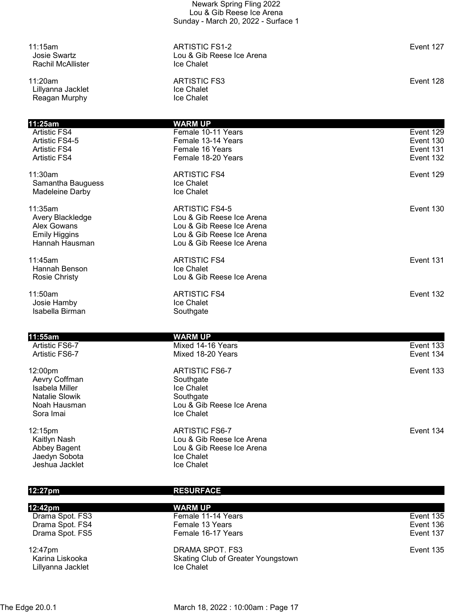| 11:15am<br><b>Josie Swartz</b><br><b>Rachil McAllister</b>                                       | <b>ARTISTIC FS1-2</b><br>Lou & Gib Reese Ice Arena<br>Ice Chalet                                                                          | Event 127                                        |
|--------------------------------------------------------------------------------------------------|-------------------------------------------------------------------------------------------------------------------------------------------|--------------------------------------------------|
| 11:20am<br>Lillyanna Jacklet<br>Reagan Murphy                                                    | <b>ARTISTIC FS3</b><br>Ice Chalet<br>Ice Chalet                                                                                           | Event 128                                        |
| 11:25am                                                                                          | <b>WARM UP</b>                                                                                                                            |                                                  |
| Artistic FS4<br>Artistic FS4-5<br><b>Artistic FS4</b><br><b>Artistic FS4</b>                     | Female 10-11 Years<br>Female 13-14 Years<br>Female 16 Years<br>Female 18-20 Years                                                         | Event 129<br>Event 130<br>Event 131<br>Event 132 |
| 11:30am<br>Samantha Bauguess<br>Madeleine Darby                                                  | <b>ARTISTIC FS4</b><br>Ice Chalet<br>Ice Chalet                                                                                           | Event 129                                        |
| 11:35am<br>Avery Blackledge<br><b>Alex Gowans</b><br><b>Emily Higgins</b><br>Hannah Hausman      | <b>ARTISTIC FS4-5</b><br>Lou & Gib Reese Ice Arena<br>Lou & Gib Reese Ice Arena<br>Lou & Gib Reese Ice Arena<br>Lou & Gib Reese Ice Arena | Event 130                                        |
| 11:45am<br>Hannah Benson<br><b>Rosie Christy</b>                                                 | <b>ARTISTIC FS4</b><br>Ice Chalet<br>Lou & Gib Reese Ice Arena                                                                            | Event 131                                        |
| 11:50am<br>Josie Hamby<br>Isabella Birman                                                        | <b>ARTISTIC FS4</b><br>Ice Chalet<br>Southgate                                                                                            | Event 132                                        |
| 11:55am                                                                                          |                                                                                                                                           |                                                  |
| Artistic FS6-7<br>Artistic FS6-7                                                                 | <b>WARM UP</b><br>Mixed 14-16 Years<br>Mixed 18-20 Years                                                                                  | Event 133<br>Event 134                           |
| 12:00pm<br>Aevry Coffman<br>Isabela Miller<br><b>Natalie Slowik</b><br>Noah Hausman<br>Sora Imai | <b>ARTISTIC FS6-7</b><br>Southgate<br>Ice Chalet<br>Southgate<br>Lou & Gib Reese Ice Arena<br>Ice Chalet                                  | Event 133                                        |
| 12:15pm<br>Kaitlyn Nash<br>Abbey Bagent<br>Jaedyn Sobota<br>Jeshua Jacklet                       | <b>ARTISTIC FS6-7</b><br>Lou & Gib Reese Ice Arena<br>Lou & Gib Reese Ice Arena<br>Ice Chalet<br>Ice Chalet                               | Event 134                                        |

| 12:27pm                    | <b>RESURFACE</b>                                      |           |
|----------------------------|-------------------------------------------------------|-----------|
| 12:42pm                    | <b>WARM UP</b>                                        |           |
| Drama Spot. FS3            | Female 11-14 Years                                    | Event 135 |
| Drama Spot. FS4            | Female 13 Years                                       | Event 136 |
| Drama Spot. FS5            | Female 16-17 Years                                    | Event 137 |
| 12:47pm<br>Karina Liskooka | DRAMA SPOT. FS3<br>Skating Club of Greater Youngstown | Event 135 |
| Lillyanna Jacklet          | Ice Chalet                                            |           |

The Edge 20.0.1 **March 18, 2022 : 10:00am : Page 17**